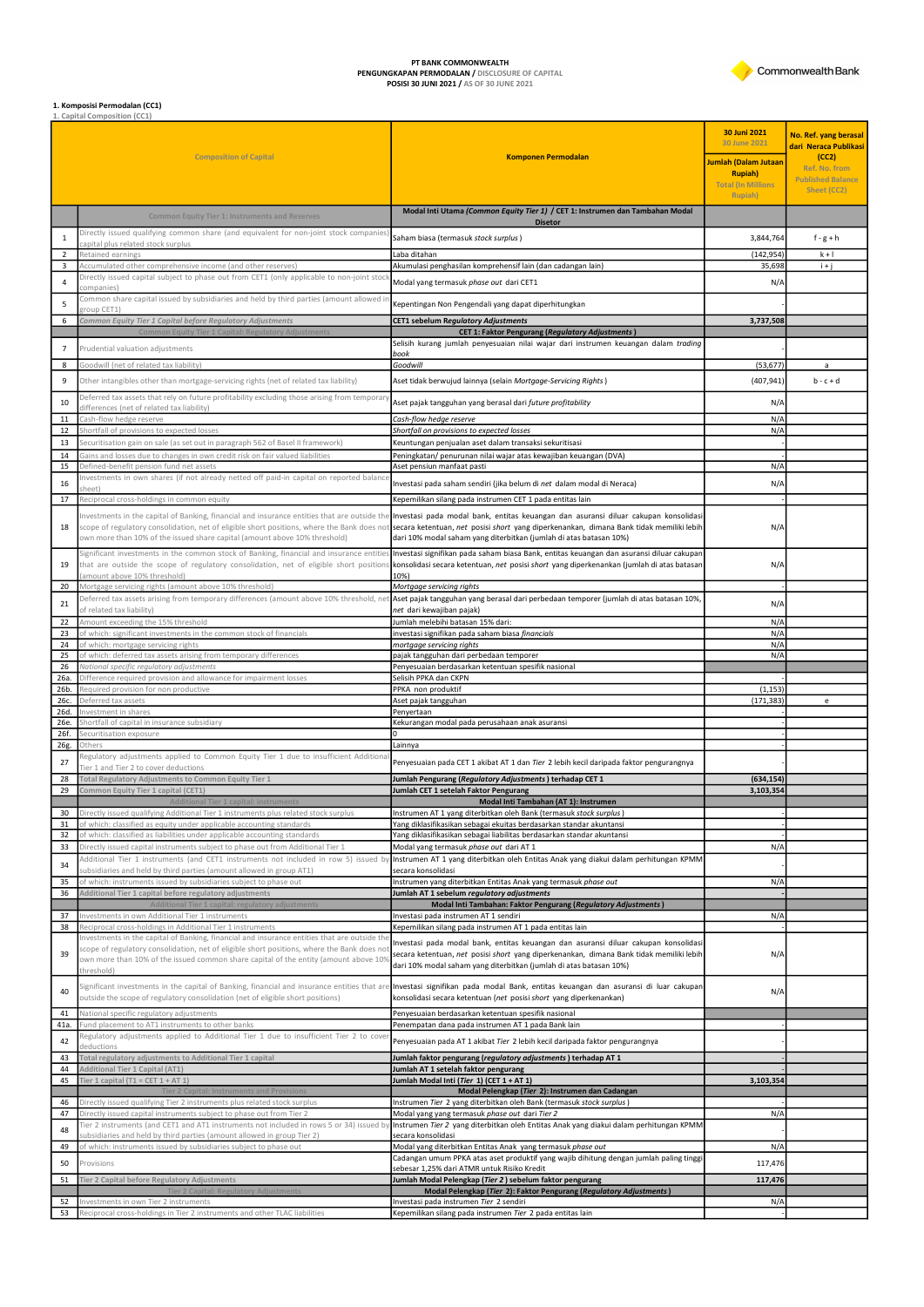

**PT BANK COMMONWEALTH<br>PENGUNGKAPAN PERMODALAN /** DISCLOSURE OF CAPITAL<br>**POSISI 30 JUNI 2021 /** AS OF 30 JUNE 2021

## **1. Komposisi Permodalan (CC1)**<br>1. Capital Composition (CC1)

|                       |                                                                                                                                                                                                                                                                                                  |                                                                                                                                                                                                                                                      | 30 Juni 2021<br><b>30 June 2021</b>           | No. Ref. yang berasal<br>dari Neraca Publikasi |
|-----------------------|--------------------------------------------------------------------------------------------------------------------------------------------------------------------------------------------------------------------------------------------------------------------------------------------------|------------------------------------------------------------------------------------------------------------------------------------------------------------------------------------------------------------------------------------------------------|-----------------------------------------------|------------------------------------------------|
|                       | <b>Composition of Capital</b>                                                                                                                                                                                                                                                                    | <b>Komponen Permodalan</b>                                                                                                                                                                                                                           | Jumlah (Dalam Jutaan                          | (CC2)<br>Ref. No. from                         |
|                       |                                                                                                                                                                                                                                                                                                  |                                                                                                                                                                                                                                                      | <b>Rupiah</b> )<br><b>Total (In Millions)</b> | <b>Published Balance</b>                       |
|                       |                                                                                                                                                                                                                                                                                                  |                                                                                                                                                                                                                                                      | Rupiah)                                       | Sheet (CC2)                                    |
|                       | <b>Common Equity Tier 1: Instruments and Reserves</b>                                                                                                                                                                                                                                            | Modal Inti Utama (Common Equity Tier 1) / CET 1: Instrumen dan Tambahan Modal<br><b>Disetor</b>                                                                                                                                                      |                                               |                                                |
| $\mathbf{1}$          | Directly issued qualifying common share (and equivalent for non-joint stock companies<br>capital plus related stock surplus                                                                                                                                                                      | Saham biasa (termasuk stock surplus)                                                                                                                                                                                                                 | 3,844,764                                     | $f-g+h$                                        |
| $\overline{2}$        | Retained earnings                                                                                                                                                                                                                                                                                | Laba ditahan                                                                                                                                                                                                                                         | (142, 954)                                    | $k + 1$                                        |
| 3                     | Accumulated other comprehensive income (and other reserves)<br>Directly issued capital subject to phase out from CET1 (only applicable to non-joint stocl                                                                                                                                        | Akumulasi penghasilan komprehensif lain (dan cadangan lain)                                                                                                                                                                                          | 35,698                                        | $i + j$                                        |
| $\overline{4}$        | companies)<br>Common share capital issued by subsidiaries and held by third parties (amount allowed i                                                                                                                                                                                            | Modal yang termasuk phase out dari CET1                                                                                                                                                                                                              | N/A                                           |                                                |
| 5                     | troup CET1)                                                                                                                                                                                                                                                                                      | Kepentingan Non Pengendali yang dapat diperhitungkan                                                                                                                                                                                                 |                                               |                                                |
| 6                     | Common Equity Tier 1 Capital before Regulatory Adjustments<br>Common Equity Tier 1 Capital: Regulatory Adjustment                                                                                                                                                                                | CET1 sebelum Regulatory Adjustments<br><b>CET 1: Faktor Pengurang (Regulatory Adjustments)</b>                                                                                                                                                       | 3,737,508                                     |                                                |
| $\overline{7}$        | Prudential valuation adjustments                                                                                                                                                                                                                                                                 | Selisih kurang jumlah penyesuaian nilai wajar dari instrumen keuangan dalam trading                                                                                                                                                                  |                                               |                                                |
| 8                     | Goodwill (net of related tax liability)                                                                                                                                                                                                                                                          | book<br>Goodwill                                                                                                                                                                                                                                     | (53, 677)                                     | a                                              |
| 9                     | Other intangibles other than mortgage-servicing rights (net of related tax liability)                                                                                                                                                                                                            | Aset tidak berwujud lainnya (selain Mortgage-Servicing Rights)                                                                                                                                                                                       | (407, 941)                                    | $b - c + d$                                    |
| 10                    | Deferred tax assets that rely on future profitability excluding those arising from temporary                                                                                                                                                                                                     | Aset pajak tangguhan yang berasal dari future profitability                                                                                                                                                                                          | N/A                                           |                                                |
| 11                    | differences (net of related tax liability)<br>Cash-flow hedge reserve                                                                                                                                                                                                                            | Cash-flow hedge reserve                                                                                                                                                                                                                              | N/A                                           |                                                |
| 12                    | Shortfall of provisions to expected losses                                                                                                                                                                                                                                                       | Shortfall on provisions to expected losses                                                                                                                                                                                                           | N/A                                           |                                                |
| 13                    | Securitisation gain on sale (as set out in paragraph 562 of Basel II framework)                                                                                                                                                                                                                  | Keuntungan penjualan aset dalam transaksi sekuritisasi                                                                                                                                                                                               |                                               |                                                |
| 14<br>15              | Gains and losses due to changes in own credit risk on fair valued liabilities<br>Defined-benefit pension fund net assets                                                                                                                                                                         | Peningkatan/ penurunan nilai wajar atas kewajiban keuangan (DVA)<br>Aset pensiun manfaat pasti                                                                                                                                                       | $N/\rho$                                      |                                                |
| 16                    | Investments in own shares (if not already netted off paid-in capital on reported balance                                                                                                                                                                                                         | Investasi pada saham sendiri (jika belum di net dalam modal di Neraca)                                                                                                                                                                               | N/A                                           |                                                |
| 17                    | Reciprocal cross-holdings in common equity                                                                                                                                                                                                                                                       | Kepemilikan silang pada instrumen CET 1 pada entitas lain                                                                                                                                                                                            |                                               |                                                |
|                       | Investments in the capital of Banking, financial and insurance entities that are outside the                                                                                                                                                                                                     | Investasi pada modal bank, entitas keuangan dan asuransi diluar cakupan konsolidasi                                                                                                                                                                  |                                               |                                                |
| 18                    | scope of regulatory consolidation, net of eligible short positions, where the Bank does not<br>own more than 10% of the issued share capital (amount above 10% threshold)                                                                                                                        | secara ketentuan, net posisi short yang diperkenankan, dimana Bank tidak memiliki lebih<br>dari 10% modal saham yang diterbitkan (jumlah di atas batasan 10%)                                                                                        | N/A                                           |                                                |
| 19                    | Significant investments in the common stock of Banking, financial and insurance entities<br>that are outside the scope of regulatory consolidation, net of eligible short position:                                                                                                              | Investasi signifikan pada saham biasa Bank, entitas keuangan dan asuransi diluar cakupan<br>konsolidasi secara ketentuan, net posisi short yang diperkenankan (jumlah di atas batasan                                                                | N/A                                           |                                                |
| 20                    | amount above 10% threshold)<br>Mortgage servicing rights (amount above 10% threshold)                                                                                                                                                                                                            | 10%)<br>Mortgage servicing rights                                                                                                                                                                                                                    |                                               |                                                |
| 21                    | Deferred tax assets arising from temporary differences (amount above 10% threshold, net                                                                                                                                                                                                          | Aset pajak tangguhan yang berasal dari perbedaan temporer (jumlah di atas batasan 10%,                                                                                                                                                               | N/A                                           |                                                |
| 22                    | of related tax liability)<br>Amount exceeding the 15% threshold                                                                                                                                                                                                                                  | net dari kewajiban pajak)<br>Jumlah melebihi batasan 15% dari:                                                                                                                                                                                       | N/A                                           |                                                |
| 23                    | of which: significant investments in the common stock of financials                                                                                                                                                                                                                              | investasi signifikan pada saham biasa financials                                                                                                                                                                                                     | N/A                                           |                                                |
| 24<br>25              | of which: mortgage servicing rights<br>of which: deferred tax assets arising from temporary differences                                                                                                                                                                                          | mortgage servicing rights<br>pajak tangguhan dari perbedaan temporer                                                                                                                                                                                 | N/A<br>N/A                                    |                                                |
| 26                    | National specific regulatory adjustments                                                                                                                                                                                                                                                         | Penyesuaian berdasarkan ketentuan spesifik nasional                                                                                                                                                                                                  |                                               |                                                |
| 26a.<br>26b.          | Difference required provision and allowance for impairment losses<br>Required provision for non productive                                                                                                                                                                                       | Selisih PPKA dan CKPN<br>PPKA non produktif                                                                                                                                                                                                          | (1, 153)                                      |                                                |
| 26с.                  | Deferred tax assets                                                                                                                                                                                                                                                                              | Aset pajak tangguhan                                                                                                                                                                                                                                 | (171, 383)                                    | e                                              |
| 26d.<br>26e.          | Investment in shares<br>Shortfall of capital in insurance subsidiary                                                                                                                                                                                                                             | Penyertaan<br>Kekurangan modal pada perusahaan anak asuransi                                                                                                                                                                                         |                                               |                                                |
| 26f.                  | Securitisation exposure                                                                                                                                                                                                                                                                          | ın                                                                                                                                                                                                                                                   |                                               |                                                |
| 26g                   | Others<br>Regulatory adjustments applied to Common Equity Tier 1 due to insufficient Additiona                                                                                                                                                                                                   | Lainnya                                                                                                                                                                                                                                              |                                               |                                                |
| 27                    | Fier 1 and Tier 2 to cover deductions                                                                                                                                                                                                                                                            | Penyesuaian pada CET 1 akibat AT 1 dan Tier 2 lebih kecil daripada faktor pengurangnya                                                                                                                                                               |                                               |                                                |
| 28<br>29              | Total Regulatory Adjustments to Common Equity Tier 1<br>Common Equity Tier 1 capital (CET1)                                                                                                                                                                                                      | Jumlah Pengurang (Regulatory Adjustments) terhadap CET 1<br>Jumlah CET 1 setelah Faktor Pengurang                                                                                                                                                    | (634, 154)<br>3,103,354                       |                                                |
|                       | ional Tier 1 capital: instruments                                                                                                                                                                                                                                                                | Modal Inti Tambahan (AT 1): Instrumen                                                                                                                                                                                                                |                                               |                                                |
| 30 <sub>o</sub><br>31 | Directly issued qualifying Additional Tier 1 instruments plus related stock surplus<br>of which: classified as equity under applicable accounting standards                                                                                                                                      | Instrumen AT 1 yang diterbitkan oleh Bank (termasuk stock surplus)<br>Yang diklasifikasikan sebagai ekuitas berdasarkan standar akuntansi                                                                                                            |                                               |                                                |
| 32                    | of which: classified as liabilities under applicable accounting standards                                                                                                                                                                                                                        | Yang diklasifikasikan sebagai liabilitas berdasarkan standar akuntansi                                                                                                                                                                               |                                               |                                                |
| 33                    | Directly issued capital instruments subject to phase out from Additional Tier 1<br>Additional Tier 1 instruments (and CET1 instruments not included in row 5) issued b                                                                                                                           | Modal yang termasuk phase out dari AT 1<br>Instrumen AT 1 yang diterbitkan oleh Entitas Anak yang diakui dalam perhitungan KPMM                                                                                                                      | N/A                                           |                                                |
| 34                    | subsidiaries and held by third parties (amount allowed in group AT1)                                                                                                                                                                                                                             | secara konsolidasi                                                                                                                                                                                                                                   |                                               |                                                |
| 35<br>36              | of which: instruments issued by subsidiaries subject to phase out<br>Additional Tier 1 capital before regulatory adjustments                                                                                                                                                                     | Instrumen yang diterbitkan Entitas Anak yang termasuk phase out<br>Jumlah AT 1 sebelum regulatory adjustments                                                                                                                                        | N/A                                           |                                                |
|                       | <b>Additional Tier 1 capital: rea</b><br>Investments in own Additional Tier 1 instruments                                                                                                                                                                                                        | Modal Inti Tambahan: Faktor Pengurang (Regulatory Adjustments)<br>Investasi pada instrumen AT 1 sendiri                                                                                                                                              |                                               |                                                |
| 37<br>38              | Reciprocal cross-holdings in Additional Tier 1 instruments                                                                                                                                                                                                                                       | Kepemilikan silang pada instrumen AT 1 pada entitas lain                                                                                                                                                                                             | N/A                                           |                                                |
| 39                    | Investments in the capital of Banking, financial and insurance entities that are outside the<br>scope of regulatory consolidation, net of eligible short positions, where the Bank does no<br>own more than 10% of the issued common share capital of the entity (amount above 109<br>threshold) | Investasi pada modal bank, entitas keuangan dan asuransi diluar cakupan konsolidasi<br>secara ketentuan, net posisi short yang diperkenankan, dimana Bank tidak memiliki lebih<br>dari 10% modal saham yang diterbitkan (jumlah di atas batasan 10%) | N/A                                           |                                                |
| 40                    | Significant investments in the capital of Banking, financial and insurance entities that are<br>outside the scope of regulatory consolidation (net of eligible short positions)                                                                                                                  | Investasi signifikan pada modal Bank, entitas keuangan dan asuransi di luar cakupan<br>konsolidasi secara ketentuan (net posisi short yang diperkenankan)                                                                                            | N/A                                           |                                                |
| 41                    | National specific regulatory adjustments                                                                                                                                                                                                                                                         | Penyesuaian berdasarkan ketentuan spesifik nasional                                                                                                                                                                                                  |                                               |                                                |
| 41a.                  | Fund placement to AT1 instruments to other banks<br>Regulatory adjustments applied to Additional Tier 1 due to insufficient Tier 2 to cove                                                                                                                                                       | Penempatan dana pada instrumen AT 1 pada Bank lain                                                                                                                                                                                                   |                                               |                                                |
| 42                    | deductions<br>Total regulatory adjustments to Additional Tier 1 capital                                                                                                                                                                                                                          | Penyesuaian pada AT 1 akibat Tier 2 lebih kecil daripada faktor pengurangnya                                                                                                                                                                         |                                               |                                                |
| 43<br>44              | Additional Tier 1 Capital (AT1)                                                                                                                                                                                                                                                                  | Jumlah faktor pengurang (regulatory adjustments) terhadap AT 1<br>Jumlah AT 1 setelah faktor pengurang                                                                                                                                               |                                               |                                                |
| 45                    | Tier 1 capital (T1 = CET $1 + AT1$ )<br><b>Tier 2 Capital: Instruments and Provision</b>                                                                                                                                                                                                         | Jumlah Modal Inti (Tier 1) (CET 1 + AT 1)<br>Modal Pelengkap (Tier 2): Instrumen dan Cadangan                                                                                                                                                        | 3,103,354                                     |                                                |
| 46                    | Directly issued qualifying Tier 2 instruments plus related stock surplus                                                                                                                                                                                                                         | Instrumen Tier 2 yang diterbitkan oleh Bank (termasuk stock surplus)                                                                                                                                                                                 |                                               |                                                |
| 47                    | Directly issued capital instruments subject to phase out from Tier 2<br>Tier 2 instruments (and CET1 and AT1 instruments not included in rows 5 or 34) issued by                                                                                                                                 | Modal yang yang termasuk phase out dari Tier 2<br>Instrumen Tier 2 yang diterbitkan oleh Entitas Anak yang diakui dalam perhitungan KPMM                                                                                                             | N/A                                           |                                                |
| 48                    | ubsidiaries and held by third parties (amount allowed in group Tier 2)                                                                                                                                                                                                                           | secara konsolidasi                                                                                                                                                                                                                                   |                                               |                                                |
| 49                    | of which: instruments issued by subsidiaries subject to phase out                                                                                                                                                                                                                                | Modal yang diterbitkan Entitas Anak yang termasuk phase out<br>Cadangan umum PPKA atas aset produktif yang wajib dihitung dengan jumlah paling tinggi                                                                                                | $N/\rho$                                      |                                                |
| 50                    | Provisions                                                                                                                                                                                                                                                                                       | sebesar 1,25% dari ATMR untuk Risiko Kredit                                                                                                                                                                                                          | 117,476                                       |                                                |
| 51                    | Tier 2 Capital before Regulatory Adjustments<br><b>Tier 2 Capital: Regulatory Adjustments</b>                                                                                                                                                                                                    | Jumlah Modal Pelengkap (Tier 2) sebelum faktor pengurang<br>Modal Pelengkap (Tier 2): Faktor Pengurang (Regulatory Adjustments)                                                                                                                      | 117,476                                       |                                                |
| 52                    | nvestments in own Tier 2 instruments                                                                                                                                                                                                                                                             | Investasi pada instrumen Tier 2 sendiri                                                                                                                                                                                                              | N/A                                           |                                                |
|                       | 53 Reciprocal cross-holdings in Tier 2 instruments and other TLAC liabilities                                                                                                                                                                                                                    | Kepemilikan silang pada instrumen Tier 2 pada entitas lain                                                                                                                                                                                           |                                               |                                                |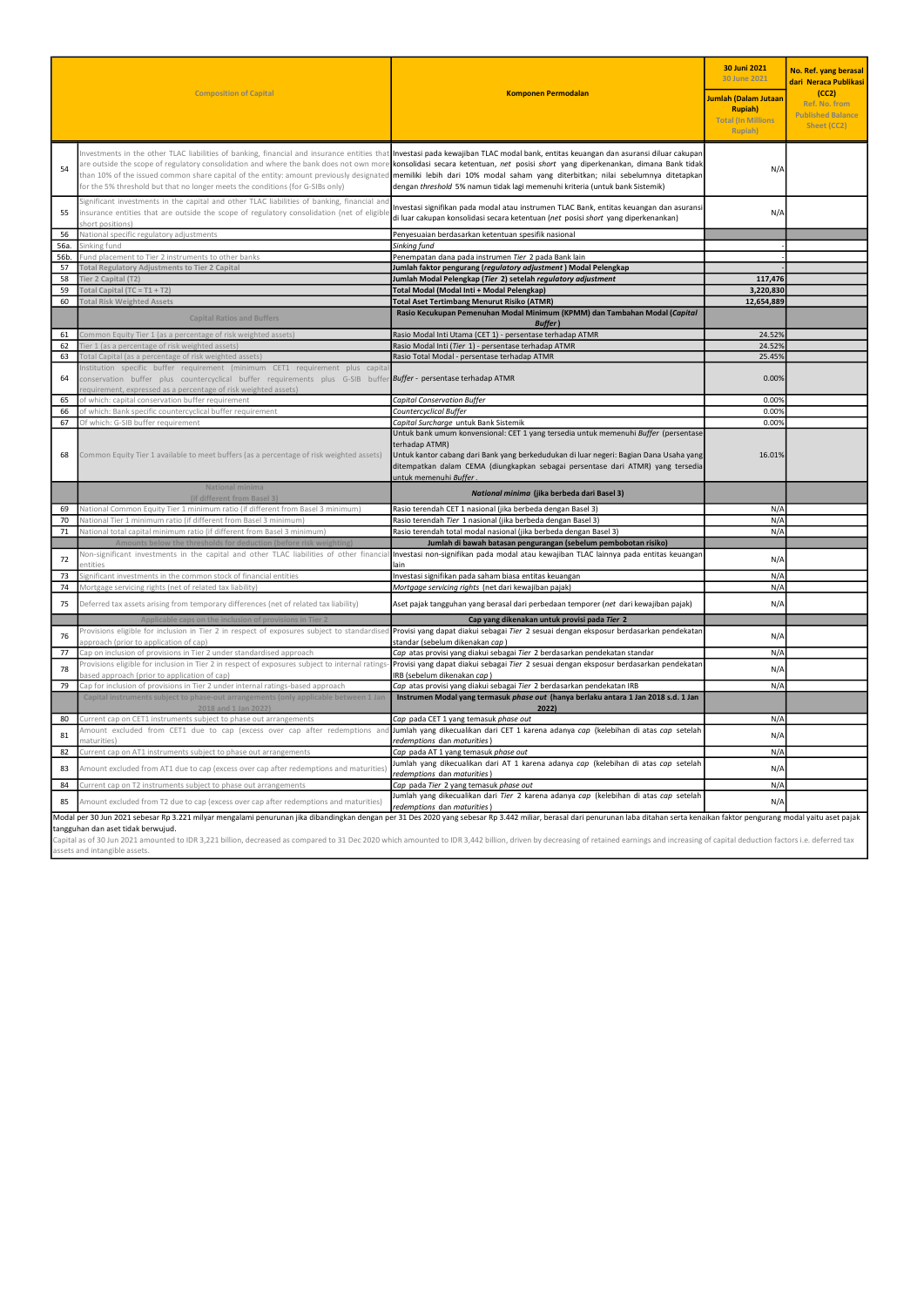|                                                                                                                                                                                                                                                                                                                                                                                                                                                                                                                                       | <b>Composition of Capital</b>                                                                                                                                                                                                                                      | <b>Komponen Permodalan</b>                                                                                                                                                                                                                                                                                                                                                                                                                                                                                                                                                                                                            | 30 Juni 2021<br>30 June 2021<br>Jumlah (Dalam Jutaan<br><b>Rupiah</b> )<br><b>Total (In Millions</b><br>Rupiah) | No. Ref. yang berasal<br>dari Neraca Publikasi<br>(CC2)<br>Ref. No. from<br><b>Published Balance</b><br>Sheet (CC2) |
|---------------------------------------------------------------------------------------------------------------------------------------------------------------------------------------------------------------------------------------------------------------------------------------------------------------------------------------------------------------------------------------------------------------------------------------------------------------------------------------------------------------------------------------|--------------------------------------------------------------------------------------------------------------------------------------------------------------------------------------------------------------------------------------------------------------------|---------------------------------------------------------------------------------------------------------------------------------------------------------------------------------------------------------------------------------------------------------------------------------------------------------------------------------------------------------------------------------------------------------------------------------------------------------------------------------------------------------------------------------------------------------------------------------------------------------------------------------------|-----------------------------------------------------------------------------------------------------------------|---------------------------------------------------------------------------------------------------------------------|
| 54                                                                                                                                                                                                                                                                                                                                                                                                                                                                                                                                    | for the 5% threshold but that no longer meets the conditions (for G-SIBs only)                                                                                                                                                                                     | Investments in the other TLAC liabilities of banking, financial and insurance entities that Investasi pada kewajiban TLAC modal bank, entitas keuangan dan asuransi diluar cakupan<br>are outside the scope of regulatory consolidation and where the bank does not own more konsolidasi secara ketentuan, net posisi short yang diperkenankan, dimana Bank tidak<br>than 10% of the issued common share capital of the entity: amount previously designated <b>memiliki lebih dari 10% modal saham yang diterbitkan; nilai sebelumnya ditetapkan</b><br>dengan threshold 5% namun tidak lagi memenuhi kriteria (untuk bank Sistemik) | N/A                                                                                                             |                                                                                                                     |
| 55                                                                                                                                                                                                                                                                                                                                                                                                                                                                                                                                    | Significant investments in the capital and other TLAC liabilities of banking, financial and<br>insurance entities that are outside the scope of regulatory consolidation (net of eligible<br>short positions)                                                      | Investasi signifikan pada modal atau instrumen TLAC Bank, entitas keuangan dan asuransi<br>di luar cakupan konsolidasi secara ketentuan (net posisi short yang diperkenankan)                                                                                                                                                                                                                                                                                                                                                                                                                                                         | N/A                                                                                                             |                                                                                                                     |
| 56<br>56a                                                                                                                                                                                                                                                                                                                                                                                                                                                                                                                             | National specific regulatory adjustments<br>Sinking fund                                                                                                                                                                                                           | Penyesuaian berdasarkan ketentuan spesifik nasional<br>Sinking fund                                                                                                                                                                                                                                                                                                                                                                                                                                                                                                                                                                   |                                                                                                                 |                                                                                                                     |
| 56b.                                                                                                                                                                                                                                                                                                                                                                                                                                                                                                                                  | Fund placement to Tier 2 instruments to other banks                                                                                                                                                                                                                | Penempatan dana pada instrumen Tier 2 pada Bank lain                                                                                                                                                                                                                                                                                                                                                                                                                                                                                                                                                                                  |                                                                                                                 |                                                                                                                     |
| $\overline{57}$                                                                                                                                                                                                                                                                                                                                                                                                                                                                                                                       | Total Regulatory Adjustments to Tier 2 Capital                                                                                                                                                                                                                     | Jumlah faktor pengurang (regulatory adjustment) Modal Pelengkap                                                                                                                                                                                                                                                                                                                                                                                                                                                                                                                                                                       |                                                                                                                 |                                                                                                                     |
| 58                                                                                                                                                                                                                                                                                                                                                                                                                                                                                                                                    | Tier 2 Capital (T2)                                                                                                                                                                                                                                                | Jumlah Modal Pelengkap (Tier 2) setelah regulatory adjustment                                                                                                                                                                                                                                                                                                                                                                                                                                                                                                                                                                         | 117,476                                                                                                         |                                                                                                                     |
| 59                                                                                                                                                                                                                                                                                                                                                                                                                                                                                                                                    | Total Capital (TC = $T1 + T2$ )                                                                                                                                                                                                                                    | Total Modal (Modal Inti + Modal Pelengkap)                                                                                                                                                                                                                                                                                                                                                                                                                                                                                                                                                                                            | 3,220,830                                                                                                       |                                                                                                                     |
| 60                                                                                                                                                                                                                                                                                                                                                                                                                                                                                                                                    | <b>Total Risk Weighted Assets</b>                                                                                                                                                                                                                                  | <b>Total Aset Tertimbang Menurut Risiko (ATMR)</b>                                                                                                                                                                                                                                                                                                                                                                                                                                                                                                                                                                                    | 12,654,889                                                                                                      |                                                                                                                     |
|                                                                                                                                                                                                                                                                                                                                                                                                                                                                                                                                       | <b>Capital Ratios and Buffers</b>                                                                                                                                                                                                                                  | Rasio Kecukupan Pemenuhan Modal Minimum (KPMM) dan Tambahan Modal (Capital<br><b>Buffer</b> )                                                                                                                                                                                                                                                                                                                                                                                                                                                                                                                                         |                                                                                                                 |                                                                                                                     |
| 61                                                                                                                                                                                                                                                                                                                                                                                                                                                                                                                                    | Common Equity Tier 1 (as a percentage of risk weighted assets)                                                                                                                                                                                                     | Rasio Modal Inti Utama (CET 1) - persentase terhadap ATMR                                                                                                                                                                                                                                                                                                                                                                                                                                                                                                                                                                             | 24.52%<br>24.52%                                                                                                |                                                                                                                     |
| 62<br>63                                                                                                                                                                                                                                                                                                                                                                                                                                                                                                                              | Tier 1 (as a percentage of risk weighted assets)<br>Total Capital (as a percentage of risk weighted assets)                                                                                                                                                        | Rasio Modal Inti (Tier 1) - persentase terhadap ATMR<br>Rasio Total Modal - persentase terhadap ATMR                                                                                                                                                                                                                                                                                                                                                                                                                                                                                                                                  | 25.45%                                                                                                          |                                                                                                                     |
| 64                                                                                                                                                                                                                                                                                                                                                                                                                                                                                                                                    | Institution specific buffer requirement (minimum CET1 requirement plus capita<br>conservation buffer plus countercyclical buffer requirements plus G-SIB buffer Buffer- persentase terhadap ATMR<br>equirement, expressed as a percentage of risk weighted assets) |                                                                                                                                                                                                                                                                                                                                                                                                                                                                                                                                                                                                                                       | 0.00%                                                                                                           |                                                                                                                     |
| 65                                                                                                                                                                                                                                                                                                                                                                                                                                                                                                                                    | of which: capital conservation buffer requirement                                                                                                                                                                                                                  | <b>Capital Conservation Buffer</b>                                                                                                                                                                                                                                                                                                                                                                                                                                                                                                                                                                                                    | 0.00%                                                                                                           |                                                                                                                     |
| 66                                                                                                                                                                                                                                                                                                                                                                                                                                                                                                                                    | of which: Bank specific countercyclical buffer requirement                                                                                                                                                                                                         | Countercyclical Buffer                                                                                                                                                                                                                                                                                                                                                                                                                                                                                                                                                                                                                | 0.00%                                                                                                           |                                                                                                                     |
| 67                                                                                                                                                                                                                                                                                                                                                                                                                                                                                                                                    | Of which: G-SIB buffer requirement                                                                                                                                                                                                                                 | Capital Surcharge untuk Bank Sistemik                                                                                                                                                                                                                                                                                                                                                                                                                                                                                                                                                                                                 | 0.00%                                                                                                           |                                                                                                                     |
| 68                                                                                                                                                                                                                                                                                                                                                                                                                                                                                                                                    | Common Equity Tier 1 available to meet buffers (as a percentage of risk weighted assets)                                                                                                                                                                           | Untuk bank umum konvensional: CET 1 yang tersedia untuk memenuhi Buffer (persentase<br>terhadap ATMR)<br>Untuk kantor cabang dari Bank yang berkedudukan di luar negeri: Bagian Dana Usaha yang<br>ditempatkan dalam CEMA (diungkapkan sebagai persentase dari ATMR) yang tersedia<br>untuk memenuhi Buffer.                                                                                                                                                                                                                                                                                                                          | 16.01%                                                                                                          |                                                                                                                     |
|                                                                                                                                                                                                                                                                                                                                                                                                                                                                                                                                       | National minima<br>(if different from Basel 3)                                                                                                                                                                                                                     | National minima (jika berbeda dari Basel 3)                                                                                                                                                                                                                                                                                                                                                                                                                                                                                                                                                                                           |                                                                                                                 |                                                                                                                     |
| 69                                                                                                                                                                                                                                                                                                                                                                                                                                                                                                                                    | National Common Equity Tier 1 minimum ratio (if different from Basel 3 minimum)                                                                                                                                                                                    | Rasio terendah CET 1 nasional (jika berbeda dengan Basel 3)                                                                                                                                                                                                                                                                                                                                                                                                                                                                                                                                                                           | N/A                                                                                                             |                                                                                                                     |
| 70<br>71                                                                                                                                                                                                                                                                                                                                                                                                                                                                                                                              | National Tier 1 minimum ratio (if different from Basel 3 minimum)<br>National total capital minimum ratio (if different from Basel 3 minimum)                                                                                                                      | Rasio terendah Tier 1 nasional (jika berbeda dengan Basel 3)<br>Rasio terendah total modal nasional (jika berbeda dengan Basel 3)                                                                                                                                                                                                                                                                                                                                                                                                                                                                                                     | N/A<br>N/A                                                                                                      |                                                                                                                     |
|                                                                                                                                                                                                                                                                                                                                                                                                                                                                                                                                       | Amounts below the thresholds for deduction (before risk weightin                                                                                                                                                                                                   | Jumlah di bawah batasan pengurangan (sebelum pembobotan risiko)                                                                                                                                                                                                                                                                                                                                                                                                                                                                                                                                                                       |                                                                                                                 |                                                                                                                     |
| 72                                                                                                                                                                                                                                                                                                                                                                                                                                                                                                                                    | Non-significant investments in the capital and other TLAC liabilities of other financia<br>entities                                                                                                                                                                | Investasi non-signifikan pada modal atau kewajiban TLAC lainnya pada entitas keuangar<br>lain                                                                                                                                                                                                                                                                                                                                                                                                                                                                                                                                         | N/A                                                                                                             |                                                                                                                     |
| 73                                                                                                                                                                                                                                                                                                                                                                                                                                                                                                                                    | Significant investments in the common stock of financial entities                                                                                                                                                                                                  | Investasi signifikan pada saham biasa entitas keuangan                                                                                                                                                                                                                                                                                                                                                                                                                                                                                                                                                                                | $N/\rho$                                                                                                        |                                                                                                                     |
| 74                                                                                                                                                                                                                                                                                                                                                                                                                                                                                                                                    | Mortgage servicing rights (net of related tax liability)                                                                                                                                                                                                           | Mortgage servicing rights (net dari kewajiban pajak)                                                                                                                                                                                                                                                                                                                                                                                                                                                                                                                                                                                  | N/A                                                                                                             |                                                                                                                     |
| 75                                                                                                                                                                                                                                                                                                                                                                                                                                                                                                                                    | Deferred tax assets arising from temporary differences (net of related tax liability)                                                                                                                                                                              | Aset pajak tangguhan yang berasal dari perbedaan temporer (net dari kewajiban pajak)                                                                                                                                                                                                                                                                                                                                                                                                                                                                                                                                                  | N/A                                                                                                             |                                                                                                                     |
|                                                                                                                                                                                                                                                                                                                                                                                                                                                                                                                                       | cable caps on the inclusion of provisions in Tio                                                                                                                                                                                                                   | Cap yang dikenakan untuk provisi pada Tier 2                                                                                                                                                                                                                                                                                                                                                                                                                                                                                                                                                                                          |                                                                                                                 |                                                                                                                     |
| 76                                                                                                                                                                                                                                                                                                                                                                                                                                                                                                                                    | pproach (prior to application of cap)                                                                                                                                                                                                                              | Provisions eligible for inclusion in Tier 2 in respect of exposures subject to standardised Provisi yang dapat diakui sebagai Tier 2 sesuai dengan eksposur berdasarkan pendekatar<br>standar (sebelum dikenakan can)                                                                                                                                                                                                                                                                                                                                                                                                                 | N/A<br>N/A                                                                                                      |                                                                                                                     |
| 77                                                                                                                                                                                                                                                                                                                                                                                                                                                                                                                                    | Cap on inclusion of provisions in Tier 2 under standardised approach<br>Provisions eligible for inclusion in Tier 2 in respect of exposures subject to internal ratings                                                                                            | Cap atas provisi yang diakui sebagai Tier 2 berdasarkan pendekatan standar<br>Provisi yang dapat diakui sebagai Tier 2 sesuai dengan eksposur berdasarkan pendekatar                                                                                                                                                                                                                                                                                                                                                                                                                                                                  |                                                                                                                 |                                                                                                                     |
| 78                                                                                                                                                                                                                                                                                                                                                                                                                                                                                                                                    | ased approach (prior to application of cap)                                                                                                                                                                                                                        | IRB (sebelum dikenakan cap)                                                                                                                                                                                                                                                                                                                                                                                                                                                                                                                                                                                                           | $N/\rho$                                                                                                        |                                                                                                                     |
| 79                                                                                                                                                                                                                                                                                                                                                                                                                                                                                                                                    | Cap for inclusion of provisions in Tier 2 under internal ratings-based approach<br>Capital instruments subject to phase-out arrangements (only applicable between 1 Jan                                                                                            | Cap atas provisi yang diakui sebagai Tier 2 berdasarkan pendekatan IRB<br>Instrumen Modal yang termasuk phase out (hanya berlaku antara 1 Jan 2018 s.d. 1 Jan                                                                                                                                                                                                                                                                                                                                                                                                                                                                         | $N/\rho$                                                                                                        |                                                                                                                     |
|                                                                                                                                                                                                                                                                                                                                                                                                                                                                                                                                       |                                                                                                                                                                                                                                                                    | 2022)                                                                                                                                                                                                                                                                                                                                                                                                                                                                                                                                                                                                                                 |                                                                                                                 |                                                                                                                     |
| 80                                                                                                                                                                                                                                                                                                                                                                                                                                                                                                                                    | Current cap on CET1 instruments subject to phase out arrangements                                                                                                                                                                                                  | Cap pada CET 1 yang temasuk phase out                                                                                                                                                                                                                                                                                                                                                                                                                                                                                                                                                                                                 | $N/\rho$                                                                                                        |                                                                                                                     |
| 81                                                                                                                                                                                                                                                                                                                                                                                                                                                                                                                                    | Amount excluded from CET1 due to cap (excess over cap after redemptions and<br>naturities)                                                                                                                                                                         | Jumlah yang dikecualikan dari CET 1 karena adanya cap (kelebihan di atas cap setelah<br>redemptions dan maturities)                                                                                                                                                                                                                                                                                                                                                                                                                                                                                                                   | $N/\rho$                                                                                                        |                                                                                                                     |
| 82                                                                                                                                                                                                                                                                                                                                                                                                                                                                                                                                    | Current cap on AT1 instruments subject to phase out arrangements                                                                                                                                                                                                   | Cap pada AT 1 yang temasuk phase out                                                                                                                                                                                                                                                                                                                                                                                                                                                                                                                                                                                                  | N/A                                                                                                             |                                                                                                                     |
| 83                                                                                                                                                                                                                                                                                                                                                                                                                                                                                                                                    | Amount excluded from AT1 due to cap (excess over cap after redemptions and maturities)                                                                                                                                                                             | Jumlah yang dikecualikan dari AT 1 karena adanya cap (kelebihan di atas cap setelah<br>redemptions dan maturities)                                                                                                                                                                                                                                                                                                                                                                                                                                                                                                                    | N/A                                                                                                             |                                                                                                                     |
| 84                                                                                                                                                                                                                                                                                                                                                                                                                                                                                                                                    | Current cap on T2 instruments subject to phase out arrangements                                                                                                                                                                                                    | Cap pada Tier 2 yang temasuk phase out                                                                                                                                                                                                                                                                                                                                                                                                                                                                                                                                                                                                | N/A                                                                                                             |                                                                                                                     |
| 85                                                                                                                                                                                                                                                                                                                                                                                                                                                                                                                                    | Amount excluded from T2 due to cap (excess over cap after redemptions and maturities)                                                                                                                                                                              | Jumlah yang dikecualikan dari Tier 2 karena adanya cap (kelebihan di atas cap setelah<br>redemptions dan maturities)                                                                                                                                                                                                                                                                                                                                                                                                                                                                                                                  | $N/\rho$                                                                                                        |                                                                                                                     |
| Modal per 30 Jun 2021 sebesar Rp 3.221 milyar mengalami penurunan jika dibandingkan dengan per 31 Des 2020 yang sebesar Rp 3.442 miliar, berasal dari penurunan laba ditahan serta kenaikan faktor pengurang modal yaitu aset<br>tangguhan dan aset tidak berwujud.<br>Capital as of 30 Jun 2021 amounted to IDR 3,221 billion, decreased as compared to 31 Dec 2020 which amounted to IDR 3,442 billion, driven by decreasing of retained earnings and increasing of capital deduction factors i.e.<br>assets and intangible assets. |                                                                                                                                                                                                                                                                    |                                                                                                                                                                                                                                                                                                                                                                                                                                                                                                                                                                                                                                       |                                                                                                                 |                                                                                                                     |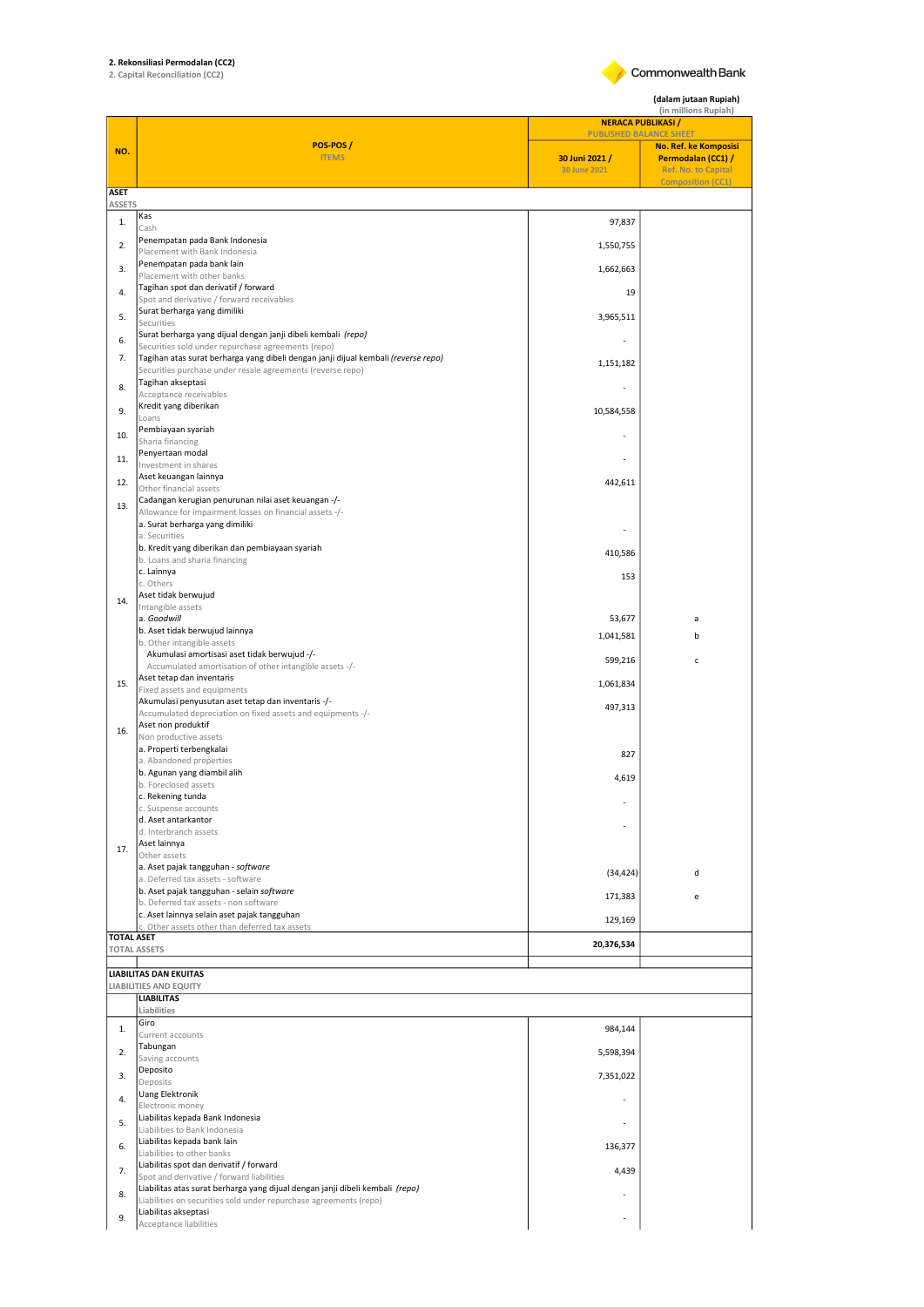## 2. Rekonsiliasi Permodalan (CC2) 2. Capital Reconciliation (CC2)

Commonwealth Bank

(dalam jutaan Rupiah)

|                              | <b>NERACA PUBLIKASI /</b>                                                                                                                          |                | (in millions Rupiah)                                    |  |  |
|------------------------------|----------------------------------------------------------------------------------------------------------------------------------------------------|----------------|---------------------------------------------------------|--|--|
|                              | POS-POS/                                                                                                                                           |                | <b>PUBLISHED BALANCE SHEET</b><br>No. Ref. ke Komposisi |  |  |
| NO.                          | <b>ITEMS</b>                                                                                                                                       | 30 Juni 2021 / | Permodalan (CC1) /                                      |  |  |
|                              |                                                                                                                                                    | 30 June 2021   | <b>Ref. No. to Capital</b><br><b>Composition (CC1)</b>  |  |  |
| <b>ASET</b><br><b>ASSETS</b> |                                                                                                                                                    |                |                                                         |  |  |
| 1.                           | Kas<br>Cash                                                                                                                                        | 97,837         |                                                         |  |  |
| 2.                           | Penempatan pada Bank Indonesia                                                                                                                     | 1,550,755      |                                                         |  |  |
| 3.                           | Placement with Bank Indonesia<br>Penempatan pada bank lain                                                                                         |                |                                                         |  |  |
|                              | Placement with other banks<br>Tagihan spot dan derivatif / forward                                                                                 | 1,662,663      |                                                         |  |  |
| 4.                           | Spot and derivative / forward receivables                                                                                                          | 19             |                                                         |  |  |
| 5.                           | Surat berharga yang dimiliki<br>Securities                                                                                                         | 3,965,511      |                                                         |  |  |
| 6.                           | Surat berharga yang dijual dengan janji dibeli kembali (repo)<br>Securities sold under repurchase agreements (repo)                                |                |                                                         |  |  |
| 7.                           | Tagihan atas surat berharga yang dibeli dengan janji dijual kembali (reverse repo)                                                                 | 1,151,182      |                                                         |  |  |
| 8.                           | Securities purchase under resale agreements (reverse repo)<br>Tagihan akseptasi                                                                    |                |                                                         |  |  |
|                              | Acceptance receivables<br>Kredit yang diberikan                                                                                                    |                |                                                         |  |  |
| 9.                           | Loans                                                                                                                                              | 10,584,558     |                                                         |  |  |
| 10.                          | Pembiayaan syariah<br>Sharia financing                                                                                                             |                |                                                         |  |  |
| 11.                          | Penyertaan modal<br>Investment in shares                                                                                                           |                |                                                         |  |  |
| 12.                          | Aset keuangan lainnya                                                                                                                              | 442,611        |                                                         |  |  |
| 13.                          | Other financial assets<br>Cadangan kerugian penurunan nilai aset keuangan -/-                                                                      |                |                                                         |  |  |
|                              | Allowance for impairment losses on financial assets -/-<br>a. Surat berharga yang dimiliki                                                         |                |                                                         |  |  |
|                              | a. Securities                                                                                                                                      |                |                                                         |  |  |
|                              | b. Kredit yang diberikan dan pembiayaan syariah<br>b. Loans and sharia financing                                                                   | 410,586        |                                                         |  |  |
|                              | c. Lainnya<br>c. Others                                                                                                                            | 153            |                                                         |  |  |
| 14.                          | Aset tidak berwujud                                                                                                                                |                |                                                         |  |  |
|                              | Intangible assets<br>a. Goodwill                                                                                                                   | 53,677         | a                                                       |  |  |
|                              | b. Aset tidak berwujud lainnya                                                                                                                     | 1,041,581      | b                                                       |  |  |
|                              | b. Other intangible assets<br>Akumulasi amortisasi aset tidak berwujud -/-                                                                         | 599,216        | $\mathsf{c}$                                            |  |  |
|                              | Accumulated amortisation of other intangible assets -/-<br>Aset tetap dan inventaris                                                               |                |                                                         |  |  |
| 15.                          | Fixed assets and equipments                                                                                                                        | 1,061,834      |                                                         |  |  |
|                              | Akumulasi penyusutan aset tetap dan inventaris -/-<br>Accumulated depreciation on fixed assets and equipments -/-                                  | 497,313        |                                                         |  |  |
| 16.                          | Aset non produktif<br>Non productive assets                                                                                                        |                |                                                         |  |  |
|                              | a. Properti terbengkalai                                                                                                                           | 827            |                                                         |  |  |
|                              | a. Abandoned properties<br>b. Agunan yang diambil alih                                                                                             | 4,619          |                                                         |  |  |
|                              | b. Foreclosed assets<br>c. Rekening tunda                                                                                                          |                |                                                         |  |  |
|                              | c. Suspense accounts                                                                                                                               |                |                                                         |  |  |
|                              | d. Aset antarkantor<br>d. Interbranch assets                                                                                                       |                |                                                         |  |  |
| 17.                          | Aset lainnya<br>Other assets                                                                                                                       |                |                                                         |  |  |
|                              | a. Aset pajak tangguhan - software                                                                                                                 | (34, 424)      | d                                                       |  |  |
|                              | a. Deferred tax assets - software<br>b. Aset pajak tangguhan - selain software                                                                     |                |                                                         |  |  |
|                              | b. Deferred tax assets - non software<br>c. Aset lainnya selain aset pajak tangguhan                                                               | 171,383        | e                                                       |  |  |
|                              | c. Other assets other than deferred tax assets                                                                                                     | 129,169        |                                                         |  |  |
| <b>TOTAL ASET</b>            | <b>TOTAL ASSETS</b>                                                                                                                                | 20,376,534     |                                                         |  |  |
|                              | <b>LIABILITAS DAN EKUITAS</b>                                                                                                                      |                |                                                         |  |  |
|                              | LIABILITIES AND EQUITY                                                                                                                             |                |                                                         |  |  |
|                              | <b>LIABILITAS</b><br>Liabilities                                                                                                                   |                |                                                         |  |  |
| 1.                           | Giro                                                                                                                                               | 984,144        |                                                         |  |  |
| 2.                           | Current accounts<br>Tabungan                                                                                                                       |                |                                                         |  |  |
|                              | Saving accounts<br>Deposito                                                                                                                        | 5,598,394      |                                                         |  |  |
| 3.                           | Deposits                                                                                                                                           | 7,351,022      |                                                         |  |  |
| 4.                           | Uang Elektronik<br>Electronic money                                                                                                                |                |                                                         |  |  |
| 5.                           | Liabilitas kepada Bank Indonesia<br>Liabilities to Bank Indonesia                                                                                  |                |                                                         |  |  |
| 6.                           | Liabilitas kepada bank lain                                                                                                                        | 136,377        |                                                         |  |  |
|                              | Liabilities to other banks<br>Liabilitas spot dan derivatif / forward                                                                              |                |                                                         |  |  |
| 7.                           | Spot and derivative / forward liabilities                                                                                                          | 4,439          |                                                         |  |  |
| 8.                           | Liabilitas atas surat berharga yang dijual dengan janji dibeli kembali (repo)<br>Liabilities on securities sold under repurchase agreements (repo) |                |                                                         |  |  |
| 9.                           | Liabilitas akseptasi<br>Acceptance liabilities                                                                                                     |                |                                                         |  |  |
|                              |                                                                                                                                                    |                |                                                         |  |  |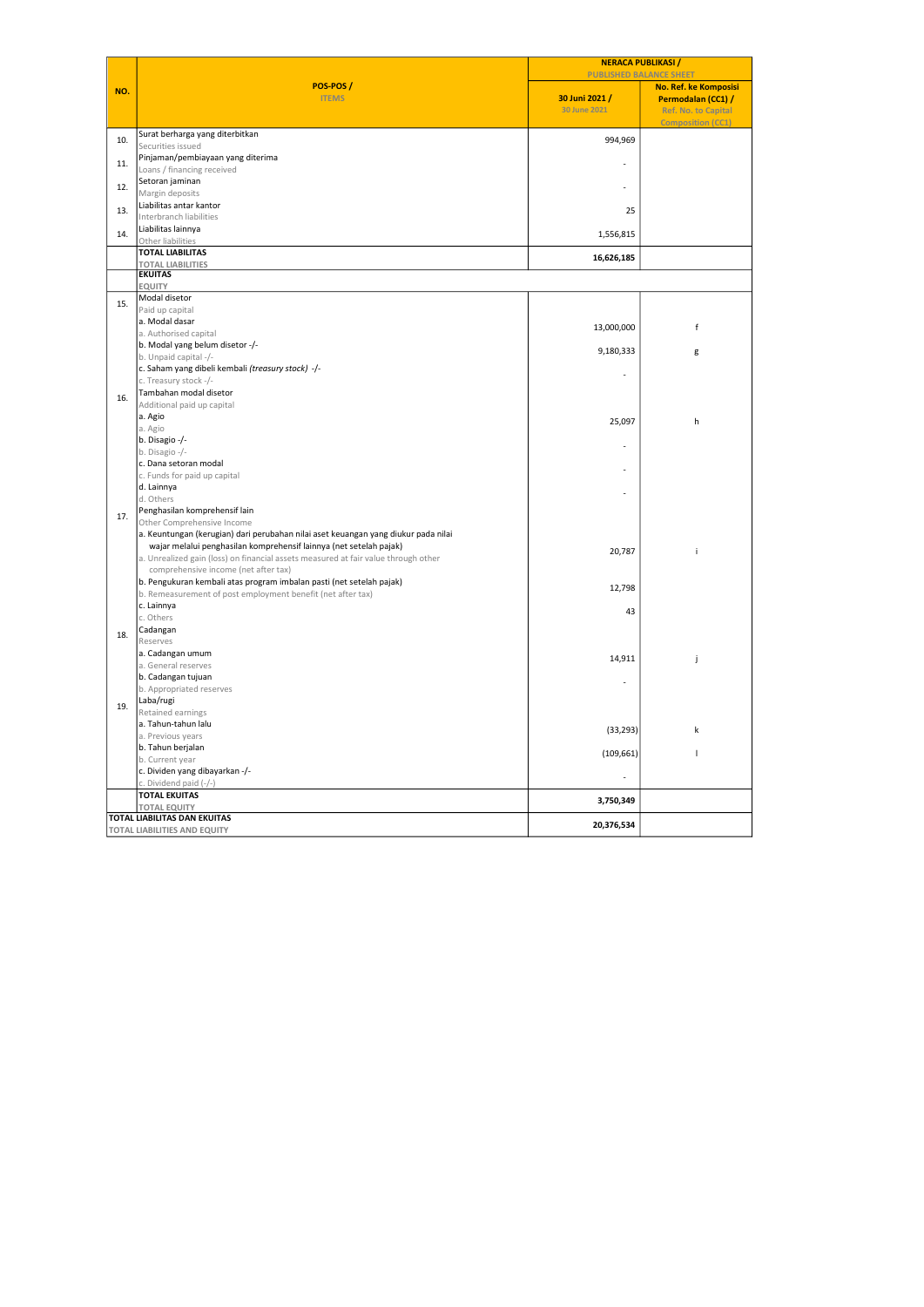|     |                                                                                                                            | <b>NERACA PUBLIKASI</b><br><b>PUBLISHED BALANCE SHEET</b> |                            |  |
|-----|----------------------------------------------------------------------------------------------------------------------------|-----------------------------------------------------------|----------------------------|--|
|     | POS-POS/                                                                                                                   |                                                           | No. Ref. ke Komposisi      |  |
| NO. | <b>ITEMS</b>                                                                                                               | 30 Juni 2021 /                                            | Permodalan (CC1) /         |  |
|     |                                                                                                                            | 30 June 2021                                              | <b>Ref. No. to Capital</b> |  |
|     |                                                                                                                            |                                                           | <b>Composition (CC1)</b>   |  |
| 10. | Surat berharga yang diterbitkan<br>Securities issued                                                                       | 994,969                                                   |                            |  |
|     | Pinjaman/pembiayaan yang diterima                                                                                          |                                                           |                            |  |
| 11. | Loans / financing received                                                                                                 |                                                           |                            |  |
| 12. | Setoran jaminan                                                                                                            |                                                           |                            |  |
|     | Margin deposits<br>Liabilitas antar kantor                                                                                 |                                                           |                            |  |
| 13. | Interbranch liabilities                                                                                                    | 25                                                        |                            |  |
| 14. | Liabilitas lainnya                                                                                                         | 1,556,815                                                 |                            |  |
|     | Other liabilities<br><b>TOTAL LIABILITAS</b>                                                                               |                                                           |                            |  |
|     | <b>TOTAL LIABILITIES</b>                                                                                                   | 16,626,185                                                |                            |  |
|     | <b>EKUITAS</b>                                                                                                             |                                                           |                            |  |
|     | <b>EQUITY</b>                                                                                                              |                                                           |                            |  |
| 15. | Modal disetor                                                                                                              |                                                           |                            |  |
|     | Paid up capital<br>a. Modal dasar                                                                                          |                                                           |                            |  |
|     | a. Authorised capital                                                                                                      | 13,000,000                                                | f                          |  |
|     | b. Modal yang belum disetor -/-                                                                                            |                                                           |                            |  |
|     | b. Unpaid capital -/-                                                                                                      | 9,180,333                                                 | g                          |  |
|     | c. Saham yang dibeli kembali (treasury stock) -/-                                                                          |                                                           |                            |  |
|     | c. Treasury stock -/-                                                                                                      |                                                           |                            |  |
| 16. | Tambahan modal disetor<br>Additional paid up capital                                                                       |                                                           |                            |  |
|     | a. Agio                                                                                                                    |                                                           |                            |  |
|     | a. Agio                                                                                                                    | 25,097                                                    | h                          |  |
|     | b. Disagio -/-                                                                                                             |                                                           |                            |  |
|     | b. Disagio -/-                                                                                                             |                                                           |                            |  |
|     | c. Dana setoran modal                                                                                                      |                                                           |                            |  |
|     | c. Funds for paid up capital<br>d. Lainnya                                                                                 |                                                           |                            |  |
|     | d. Others                                                                                                                  |                                                           |                            |  |
|     | Penghasilan komprehensif lain                                                                                              |                                                           |                            |  |
| 17. | Other Comprehensive Income                                                                                                 |                                                           |                            |  |
|     | a. Keuntungan (kerugian) dari perubahan nilai aset keuangan yang diukur pada nilai                                         |                                                           |                            |  |
|     | wajar melalui penghasilan komprehensif lainnya (net setelah pajak)                                                         | 20,787                                                    |                            |  |
|     | a. Unrealized gain (loss) on financial assets measured at fair value through other<br>comprehensive income (net after tax) |                                                           |                            |  |
|     | b. Pengukuran kembali atas program imbalan pasti (net setelah pajak)                                                       |                                                           |                            |  |
|     | b. Remeasurement of post employment benefit (net after tax)                                                                | 12,798                                                    |                            |  |
|     | c. Lainnya                                                                                                                 | 43                                                        |                            |  |
|     | c. Others                                                                                                                  |                                                           |                            |  |
| 18. | Cadangan                                                                                                                   |                                                           |                            |  |
|     | Reserves<br>a. Cadangan umum                                                                                               |                                                           |                            |  |
|     | a. General reserves                                                                                                        | 14,911                                                    | j                          |  |
|     | b. Cadangan tujuan                                                                                                         |                                                           |                            |  |
|     | b. Appropriated reserves                                                                                                   |                                                           |                            |  |
| 19. | Laba/rugi                                                                                                                  |                                                           |                            |  |
|     | Retained earnings<br>a. Tahun-tahun lalu                                                                                   |                                                           |                            |  |
|     | a. Previous years                                                                                                          | (33, 293)                                                 | k                          |  |
|     | b. Tahun berjalan                                                                                                          |                                                           | т                          |  |
|     | b. Current year                                                                                                            | (109, 661)                                                |                            |  |
|     | c. Dividen yang dibayarkan -/-                                                                                             |                                                           |                            |  |
|     | c. Dividend paid (-/-)                                                                                                     |                                                           |                            |  |
|     | <b>TOTAL EKUITAS</b><br><b>TOTAL EQUITY</b>                                                                                | 3,750,349                                                 |                            |  |
|     | <b>TOTAL LIABILITAS DAN EKUITAS</b>                                                                                        |                                                           |                            |  |
|     | <b>TOTAL LIABILITIES AND EQUITY</b>                                                                                        | 20,376,534                                                |                            |  |